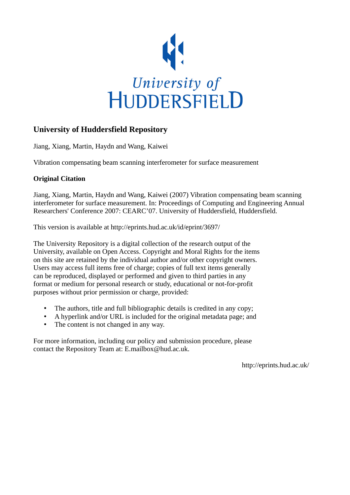

# **University of Huddersfield Repository**

Jiang, Xiang, Martin, Haydn and Wang, Kaiwei

Vibration compensating beam scanning interferometer for surface measurement

## **Original Citation**

Jiang, Xiang, Martin, Haydn and Wang, Kaiwei (2007) Vibration compensating beam scanning interferometer for surface measurement. In: Proceedings of Computing and Engineering Annual Researchers' Conference 2007: CEARC'07. University of Huddersfield, Huddersfield.

This version is available at http://eprints.hud.ac.uk/id/eprint/3697/

The University Repository is a digital collection of the research output of the University, available on Open Access. Copyright and Moral Rights for the items on this site are retained by the individual author and/or other copyright owners. Users may access full items free of charge; copies of full text items generally can be reproduced, displayed or performed and given to third parties in any format or medium for personal research or study, educational or not-for-profit purposes without prior permission or charge, provided:

- The authors, title and full bibliographic details is credited in any copy;
- A hyperlink and/or URL is included for the original metadata page; and
- The content is not changed in any way.

For more information, including our policy and submission procedure, please contact the Repository Team at: E.mailbox@hud.ac.uk.

http://eprints.hud.ac.uk/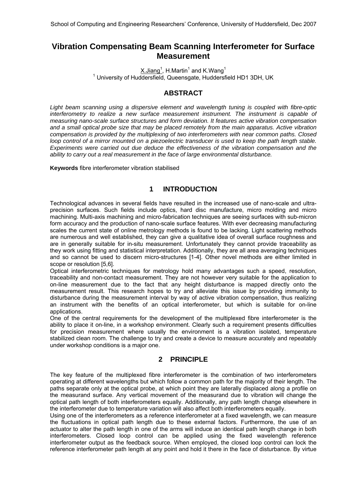# **Vibration Compensating Beam Scanning Interferometer for Surface Measurement**

 $X$ .Jiang<sup>1</sup>, H.Martin<sup>1</sup> and K.Wang<sup>1</sup> <sup>1</sup> University of Huddersfield, Queensgate, Huddersfield HD1 3DH, UK

### **ABSTRACT**

*Light beam scanning using a dispersive element and wavelength tuning is coupled with fibre-optic interferometry to realize a new surface measurement instrument. The instrument is capable of measuring nano-scale surface structures and form deviation. It features active vibration compensation and a small optical probe size that may be placed remotely from the main apparatus. Active vibration compensation is provided by the multiplexing of two interferometers with near common paths. Closed loop control of a mirror mounted on a piezoelectric transducer is used to keep the path length stable. Experiments were carried out due deduce the effectiveness of the vibration compensation and the ability to carry out a real measurement in the face of large environmental disturbance.* 

**Keywords** fibre interferometer vibration stabilised

### **1 INTRODUCTION**

Technological advances in several fields have resulted in the increased use of nano-scale and ultraprecision surfaces. Such fields include optics, hard disc manufacture, micro molding and micro machining. Multi-axis machining and micro-fabrication techniques are seeing surfaces with sub-micron form accuracy and the production of nano-scale surface features. With ever decreasing manufacturing scales the current state of online metrology methods is found to be lacking. Light scattering methods are numerous and well established, they can give a qualitative idea of overall surface roughness and are in generally suitable for in-situ measurement. Unfortunately they cannot provide traceability as they work using fitting and statistical interpretation. Additionally, they are all area averaging techniques and so cannot be used to discern micro-structures [1-4]. Other novel methods are either limited in scope or resolution [5,6].

Optical interferometric techniques for metrology hold many advantages such a speed, resolution, traceability and non-contact measurement. They are not however very suitable for the application to on-line measurement due to the fact that any height disturbance is mapped directly onto the measurement result. This research hopes to try and alleviate this issue by providing immunity to disturbance during the measurement interval by way of active vibration compensation, thus realizing an instrument with the benefits of an optical interferometer, but which is suitable for on-line applications.

One of the central requirements for the development of the multiplexed fibre interferometer is the ability to place it on-line, in a workshop environment. Clearly such a requirement presents difficulties for precision measurement where usually the environment is a vibration isolated, temperature stabilized clean room. The challenge to try and create a device to measure accurately and repeatably under workshop conditions is a major one.

### **2 PRINCIPLE**

The key feature of the multiplexed fibre interferometer is the combination of two interferometers operating at different wavelengths but which follow a common path for the majority of their length. The paths separate only at the optical probe, at which point they are laterally displaced along a profile on the measurand surface. Any vertical movement of the measurand due to vibration will change the optical path length of both interferometers equally. Additionally, any path length change elsewhere in the interferometer due to temperature variation will also affect both interferometers equally.

Using one of the interferometers as a reference interferometer at a fixed wavelength, we can measure the fluctuations in optical path length due to these external factors. Furthermore, the use of an actuator to alter the path length in one of the arms will induce an identical path length change in both interferometers. Closed loop control can be applied using the fixed wavelength reference interferometer output as the feedback source. When employed, the closed loop control can lock the reference interferometer path length at any point and hold it there in the face of disturbance. By virtue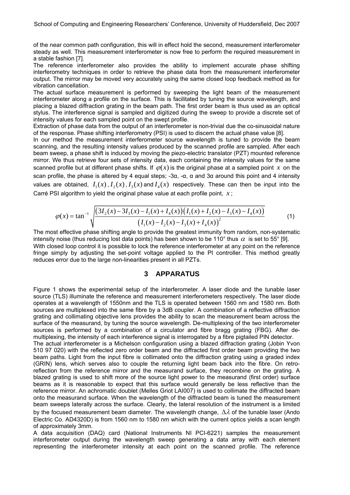of the near common path configuration, this will in effect hold the second, measurement interferometer steady as well. This measurement interferometer is now free to perform the required measurement in a stable fashion [7].

The reference interferometer also provides the ability to implement accurate phase shifting interferometry techniques in order to retrieve the phase data from the measurement interferometer output. The mirror may be moved very accurately using the same closed loop feedback method as for vibration cancellation.

The actual surface measurement is performed by sweeping the light beam of the measurement interferometer along a profile on the surface. This is facilitated by tuning the source wavelength, and placing a blazed diffraction grating in the beam path. The first order beam is thus used as an optical stylus. The interference signal is sampled and digitized during the sweep to provide a discrete set of intensity values for each sampled point on the swept profile.

Extraction of phase data from the output of an interferometer is non-trivial due the co-sinusoidal nature of the response. Phase shifting interferometry (PSI) is used to discern the actual phase value [8].

In our method the measurement interferometer source wavelength is tuned to provide the beam scanning, and the resulting intensity values produced by the scanned profile are sampled. After each beam sweep, a phase shift is induced by moving the piezo-electric translator (PZT) mounted reference mirror. We thus retrieve four sets of intensity data, each containing the intensity values for the same scanned profile but at different phase shifts. If  $\varphi(x)$  is the original phase at a sampled point x on the scan profile, the phase is altered by 4 equal steps;  $-3\alpha$ ,  $-\alpha$ , α and 3α around this point and 4 intensity values are obtained,  $I_1(x)$ ,  $I_2(x)$ ,  $I_3(x)$  and  $I_4(x)$  respectively. These can then be input into the Carré PSI algorithm to yield the original phase value at each profile point, *x* ;

$$
\varphi(x) = \tan^{-1} \sqrt{\frac{\left(3I_2(x) - 3I_3(x) - I_1(x) + I_4(x)\right)\left(I_1(x) + I_2(x) - I_3(x) - I_4(x)\right)}{\left(I_1(x) - I_2(x) - I_3(x) + I_4(x)\right)^2}}
$$
(1)

The most effective phase shifting angle to provide the greatest immunity from random, non-systematic intensity noise (thus reducing lost data points) has been shown to be 110° thus  $\alpha$  is set to 55° [9]. With closed loop control it is possible to lock the reference interferometer at any point on the reference fringe simply by adjusting the set-point voltage applied to the PI controller. This method greatly reduces error due to the large non-linearities present in all PZTs.

### **3 APPARATUS**

Figure 1 shows the experimental setup of the interferometer. A laser diode and the tunable laser source (TLS) illuminate the reference and measurement interferometers respectively. The laser diode operates at a wavelength of 1550nm and the TLS is operated between 1560 nm and 1580 nm. Both sources are multiplexed into the same fibre by a 3dB coupler. A combination of a reflective diffraction grating and collimating objective lens provides the ability to scan the measurement beam across the surface of the measurand, by tuning the source wavelength. De-multiplexing of the two interferometer sources is performed by a combination of a circulator and fibre bragg grating (FBG). After demultiplexing, the intensity of each interference signal is interrogated by a fibre pigtailed PIN detector.

The actual interferometer is a Michelson configuration using a blazed diffraction grating (Jobin Yvon 510 97 020) with the reflected zero order beam and the diffracted first order beam providing the two beam paths. Light from the input fibre is collimated onto the diffraction grating using a graded index (GRIN) lens, which serves also to couple the returning light beam back into the fibre. On retroreflection from the reference mirror and the measurand surface, they recombine on the grating. A blazed grating is used to shift more of the source light power to the measurand (first order) surface beams as it is reasonable to expect that this surface would generally be less reflective than the reference mirror. An achromatic doublet (Melles Griot LAI007) is used to collimate the diffracted beam onto the measurand surface. When the wavelength of the diffracted beam is tuned the measurement beam sweeps laterally across the surface. Clearly, the lateral resolution of the instrument is a limited by the focused measurement beam diameter. The wavelength change,  $\Delta\lambda$  of the tunable laser (Ando Electric Co. AD4320D) is from 1560 nm to 1580 nm which with the current optics yields a scan length of approximately 3mm.

A data acquisition (DAQ) card (National Instruments NI PCI-6221) samples the measurement interferometer output during the wavelength sweep generating a data array with each element representing the interferometer intensity at each point on the scanned profile. The reference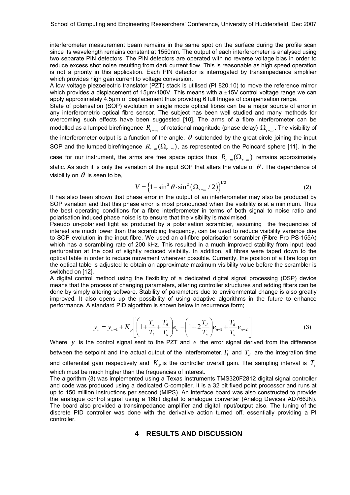interferometer measurement beam remains in the same spot on the surface during the profile scan since its wavelength remains constant at 1550nm. The output of each interferometer is analysed using two separate PIN detectors. The PIN detectors are operated with no reverse voltage bias in order to reduce excess shot noise resulting from dark current flow. This is reasonable as high speed operation is not a priority in this application. Each PIN detector is interrogated by transimpedance amplifier which provides high gain current to voltage conversion.

A low voltage piezoelectric translator (PZT) stack is utilised (PI 820.10) to move the reference mirror which provides a displacement of 15µm/100V. This means with a ±15V control voltage range we can apply approximately 4.5μm of displacement thus providing 6 full fringes of compensation range.

State of polarisation (SOP) evolution in single mode optical fibres can be a major source of error in any interferometric optical fibre sensor. The subject has been well studied and many methods for overcoming such effects have been suggested [10]. The arms of a fibre interferometer can be modelled as a lumped birefringence  $\,R_{r-m}\,$  of rotational magnitude (phase delay)  $\,\Omega_{r-m}\,.$  The visibility of the interferometer output is a function of the angle,  $\theta$  subtended by the great circle joining the input SOP and the lumped birefringence  $R_{r-m}(\Omega_{r-m})$ , as represented on the Poincaré sphere [11]. In the case for our instrument, the arms are free space optics thus  $R_{r-m}(\Omega_{r-m})$  remains approximately static. As such it is only the variation of the input SOP that alters the value of  $\theta$ . The dependence of visibility on  $\theta$  is seen to be.

$$
V = \left\{1 - \sin^2 \theta \cdot \sin^2 \left(\Omega_{r-m} / 2\right)\right\}^{1/2}
$$
 (2)

It has also been shown that phase error in the output of an interferometer may also be produced by SOP variation and that this phase error is most pronounced when the visibility is at a minimum. Thus the best operating conditions for a fibre interferometer in terms of both signal to noise ratio and polarisation induced phase noise is to ensure that the visibility is maximised.

Pseudo un-polarised light as produced by a polarisation scrambler, assuming the frequencies of interest are much lower than the scrambling frequency, can be used to reduce visibility variance due to SOP evolution in the input fibre. We used an all-fibre polarisation scrambler (Fibre Pro PS-155A) which has a scrambling rate of 200 kHz. This resulted in a much improved stability from input lead perturbation at the cost of slightly reduced visibility. In addition, all fibres were taped down to the optical table in order to reduce movement wherever possible. Currently, the position of a fibre loop on the optical table is adjusted to obtain an approximate maximum visibility value before the scrambler is switched on [12].

A digital control method using the flexibility of a dedicated digital signal processing (DSP) device means that the process of changing parameters, altering controller structures and adding filters can be done by simply altering software. Stability of parameters due to environmental change is also greatly improved. It also opens up the possibility of using adaptive algorithms in the future to enhance performance. A standard PID algorithm is shown below in recurrence form;

$$
y_n = y_{n-1} + K_p \left[ \left( 1 + \frac{T_s}{T_i} + \frac{T_d}{T_s} \right) e_n - \left( 1 + 2 \frac{T_d}{T_s} \right) e_{n-1} + \frac{T_d}{T_s} e_{n-2} \right]
$$
(3)

Where *y* is the control signal sent to the PZT and *e* the error signal derived from the difference between the setpoint and the actual output of the interferometer.  $T_i$  and  $T_d$  are the integration time and differential gain respectively and  $K_p$  is the controller overall gain. The sampling interval is  $T_s$ which must be much higher than the frequencies of interest.

The algorithm (3) was implemented using a Texas Instruments TMS320F2812 digital signal controller and code was produced using a dedicated C-compiler. It is a 32 bit fixed point processor and runs at up to 150 million instructions per second (MIPS). An interface board was also constructed to provide the analogue control signal using a 16bit digital to analogue converter (Analog Devices AD766JN). The board also provided a transimpedance amplifier and digital input/output also. The tuning of the discrete PID controller was done with the derivative action turned off, essentially providing a PI controller.

#### **4 RESULTS AND DISCUSSION**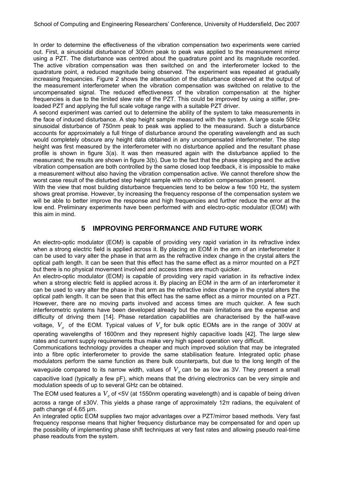In order to determine the effectiveness of the vibration compensation two experiments were carried out. First, a sinusoidal disturbance of 300nm peak to peak was applied to the measurement mirror using a PZT. The disturbance was centred about the quadrature point and its magnitude recorded. The active vibration compensation was then switched on and the interferometer locked to the quadrature point, a reduced magnitude being observed. The experiment was repeated at gradually increasing frequencies. Figure 2 shows the attenuation of the disturbance observed at the output of the measurement interferometer when the vibration compensation was switched on relative to the uncompensated signal. The reduced effectiveness of the vibration compensation at the higher frequencies is due to the limited slew rate of the PZT. This could be improved by using a stiffer, preloaded PZT and applying the full scale voltage range with a suitable PZT driver.

A second experiment was carried out to determine the ability of the system to take measurements in the face of induced disturbance. A step height sample measured with the system. A large scale 50Hz sinusoidal disturbance of 750nm peak to peak was applied to the measurand. Such a disturbance accounts for approximately a full fringe of disturbance around the operating wavelength and as such would completely obscure any height data obtained in any uncompensated interferometer. The step height was first measured by the interferometer with no disturbance applied and the resultant phase profile is shown in figure 3(a). It was then measured again with the disturbance applied to the measurand; the results are shown in figure 3(b). Due to the fact that the phase stepping and the active vibration compensation are both controlled by the same closed loop feedback, it is impossible to make a measurement without also having the vibration compensation active. We cannot therefore show the worst case result of the disturbed step height sample with no vibration compensation present.

With the view that most building disturbance frequencies tend to be below a few 100 Hz, the system shows great promise. However, by increasing the frequency response of the compensation system we will be able to better improve the response and high frequencies and further reduce the error at the low end. Preliminary experiments have been performed with and electro-optic modulator (EOM) with this aim in mind.

### **5 IMPROVING PERFORMANCE AND FUTURE WORK**

An electro-optic modulator (EOM) is capable of providing very rapid variation in its refractive index when a strong electric field is applied across it. By placing an EOM in the arm of an interferometer it can be used to vary alter the phase in that arm as the refractive index change in the crystal alters the optical path length. It can be seen that this effect has the same effect as a mirror mounted on a PZT but there is no physical movement involved and access times are much quicker.

An electro-optic modulator (EOM) is capable of providing very rapid variation in its refractive index when a strong electric field is applied across it. By placing an EOM in the arm of an interferometer it can be used to vary alter the phase in that arm as the refractive index change in the crystal alters the optical path length. It can be seen that this effect has the same effect as a mirror mounted on a PZT. However, there are no moving parts involved and access times are much quicker. A few such interferometric systems have been developed already but the main limitations are the expense and difficulty of driving them [14]. Phase retardation capabilities are characterised by the half-wave

voltage,  $V_{\pi}$  of the EOM. Typical values of  $V_{\pi}$  for bulk optic EOMs are in the range of 300V at

operating wavelengths of 1600nm and they represent highly capacitive loads [42]. The large slew rates and current supply requirements thus make very high speed operation very difficult.

Communications technology provides a cheaper and much improved solution that may be integrated into a fibre optic interferometer to provide the same stabilisation feature. Integrated optic phase modulators perform the same function as there bulk counterparts, but due to the long length of the waveguide compared to its narrow width, values of  $V_\pi$  can be as low as 3V. They present a small capacitive load (typically a few pF), which means that the driving electronics can be very simple and modulation speeds of up to several GHz can be obtained.

The EOM used features a  $V_{\pi}$  of <5V (at 1550nm operating wavelength) and is capable of being driven across a range of ±30V. This yields a phase range of approximately 12π radians, the equivalent of path change of 4.65 µm.

An integrated optic EOM supplies two major advantages over a PZT/mirror based methods. Very fast frequency response means that higher frequency disturbance may be compensated for and open up the possibility of implementing phase shift techniques at very fast rates and allowing pseudo real-time phase readouts from the system.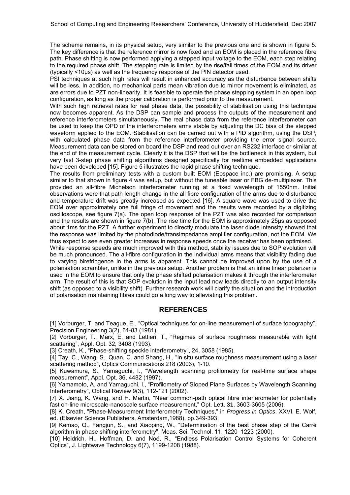The scheme remains, in its physical setup, very similar to the previous one and is shown in figure 5. The key difference is that the reference mirror is now fixed and an EOM is placed in the reference fibre path. Phase shifting is now performed applying a stepped input voltage to the EOM, each step relating to the required phase shift. The stepping rate is limited by the rise/fall times of the EOM and its driver (typically <10μs) as well as the frequency response of the PIN detector used.

PSI techniques at such high rates will result in enhanced accuracy as the disturbance between shifts will be less. In addition, no mechanical parts mean vibration due to mirror movement is eliminated, as are errors due to PZT non-linearity. It is feasible to operate the phase stepping system in an open loop configuration, as long as the proper calibration is performed prior to the measurement.

With such high retrieval rates for real phase data, the possibility of stabilisation using this technique now becomes apparent. As the DSP can sample and process the outputs of the measurement and reference interferometers simultaneously. The real phase data from the reference interferometer can be used to keep the OPD of the interferometers arms stable by adjusting the DC bias of the stepped waveform applied to the EOM. Stabilisation can be carried out with a PID algorithm, using the DSP, with calculated phase data from the reference interferometer providing the error signal source. Measurement data can be stored on board the DSP and read out over an RS232 interface or similar at the end of the measurement cycle. Clearly it is the DSP that will be the bottleneck in this system, but very fast 3-step phase shifting algorithms designed specifically for realtime embedded applications have been developed [15]. Figure 5 illustrates the rapid phase shifting technique.

The results from preliminary tests with a custom built EOM (Eospace inc.) are promising. A setup similar to that shown in figure 4 was setup, but without the tuneable laser or FBG de-multiplexer. This provided an all-fibre Michelson interferometer running at a fixed wavelength of 1550nm. Initial observations were that path length change in the all fibre configuration of the arms due to disturbance and temperature drift was greatly increased as expected [16]. A square wave was used to drive the EOM over approximately one full fringe of movement and the results were recorded by a digitizing oscilloscope, see figure 7(a). The open loop response of the PZT was also recorded for comparison and the results are shown in figure 7(b). The rise time for the EOM is approximately 25μs as opposed about 1ms for the PZT. A further experiment to directly modulate the laser diode intensity showed that the response was limited by the photodiode/transimpedance amplifier configuration, not the EOM. We thus expect to see even greater increases in response speeds once the receiver has been optimised.

While response speeds are much improved with this method, stability issues due to SOP evolution will be much pronounced. The all-fibre configuration in the individual arms means that visibility fading due to varying birefringence in the arms is apparent. This cannot be improved upon by the use of a polarisation scrambler, unlike in the previous setup. Another problem is that an inline linear polarizer is used in the EOM to ensure that only the phase shifted polarisation makes it through the interferometer arm. The result of this is that SOP evolution in the input lead now leads directly to an output intensity shift (as opposed to a visibility shift). Further research work will clarify the situation and the introduction of polarisation maintaining fibres could go a long way to alleviating this problem.

#### **REFERENCES**

[1] Vorburger, T. and Teague, E., "Optical techniques for on-line measurement of surface topography", Precision Engineering 3(2), 61-83 (1981).

[2] Vorburger, T., Marx, E. and Lettieri, T., "Regimes of surface roughness measurable with light scattering", Appl. Opt. 32, 3408 (1993).

[3] Creath, K., "Phase-shifting speckle interferometry", 24, 3058 (1985).

[4] Tay, C., Wang, S., Quan, C. and Shang, H., "In situ surface roughness measurement using a laser scattering method", Optics Communications 218 (2003), 1-10.

[5] Kuwamura, S., Yamaguchi, I., "Wavelength scanning profilometry for real-time surface shape measurement", Appl. Opt. 36, 4482 (1997).

[6] Yamamoto, A. and Yamaguchi, I., "Profilometry of SIoped Plane Surfaces by Wavelength Scanning Interferometry", Optical Review 9(3), 112-121 (2002).

[7] X. Jiang, K. Wang, and H. Martin, "Near common-path optical fibre interferometer for potentially fast on-line microscale-nanoscale surface measurement," Opt. Lett. **31**, 3603-3605 (2006).

[8] K. Creath, "Phase-Measurement Interferometry Techniques," in *Progress in Optics*. XXVI, E. Wolf, ed. (Elsevier Science Publishers, Amsterdam,1988), pp.349-393.

[9] Kemao, Q., Fangjun, S., and Xiaoping, W., "Determination of the best phase step of the Carré algorithm in phase shifting interferometry", Meas. Sci. Technol. 11, 1220–1223 (2000).

[10] Heidrich, H., Hoffman, D. and Noé, R., "Endless Polarisation Control Systems for Coherent Optics", J. Lightwave Technology 6(7), 1199-1208 (1988).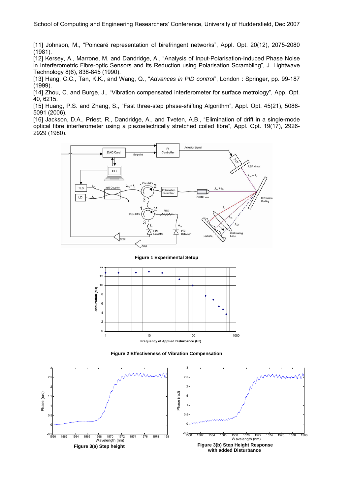[11] Johnson, M., "Poincaré representation of birefringent networks", Appl. Opt. 20(12), 2075-2080 (1981).

[12] Kersey, A., Marrone, M. and Dandridge, A., "Analysis of Input-Polarisation-Induced Phase Noise in Interferometric Fibre-optic Sensors and Its Reduction using Polarisation Scrambling", J. Lightwave Technology 8(6), 838-845 (1990).

[13] Hang, C.C., Tan, K.K., and Wang, Q., "*Advances in PID control*", London : Springer, pp. 99-187 (1999).

[14] Zhou, C. and Burge, J., "Vibration compensated interferometer for surface metrology", App. Opt. 40, 6215.

[15] Huang, P.S. and Zhang, S., "Fast three-step phase-shifting Algorithm", Appl. Opt. 45(21), 5086-5091 (2006).

[16] Jackson, D.A., Priest, R., Dandridge, A., and Tveten, A.B., "Elimination of drift in a single-mode optical fibre interferometer using a piezoelectrically stretched coiled fibre", Appl. Opt. 19(17), 2926- 2929 (1980).



#### **Figure 1 Experimental Setup**